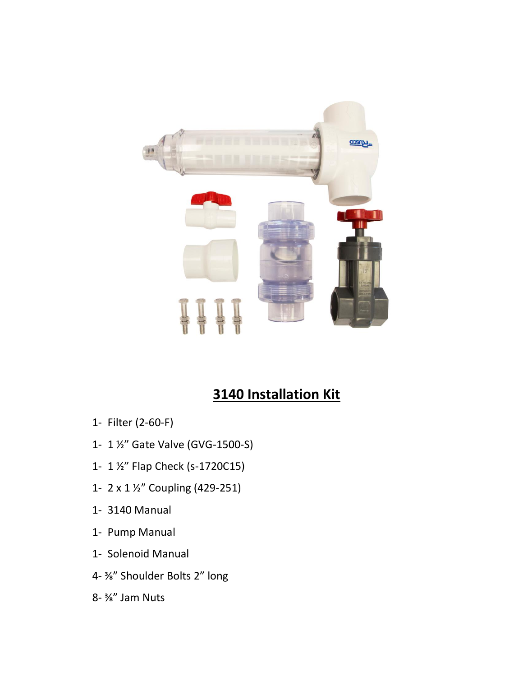

## **3140 Installation Kit**

- 1- Filter (2-60-F)
- 1- 1 ½" Gate Valve (GVG-1500-S)
- 1- 1 ½" Flap Check (s-1720C15)
- 1- 2 x 1 ½" Coupling (429-251)
- 1- 3140 Manual
- 1- Pump Manual
- 1- Solenoid Manual
- 4- ⅜" Shoulder Bolts 2" long
- 8- ⅜" Jam Nuts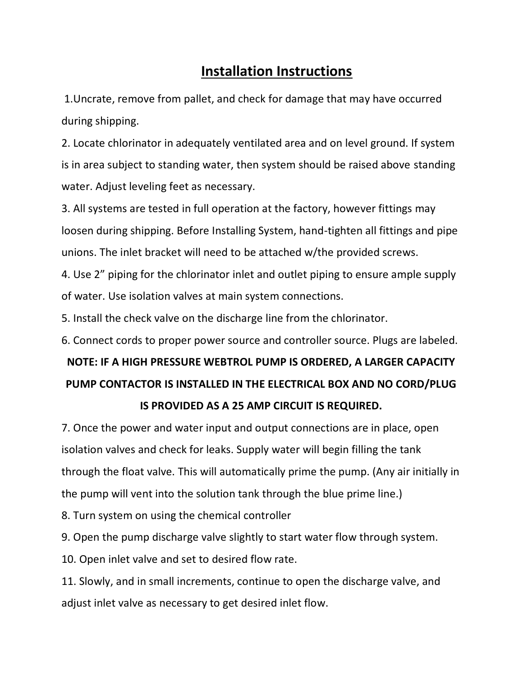## **Installation Instructions**

1.Uncrate, remove from pallet, and check for damage that may have occurred during shipping.

2. Locate chlorinator in adequately ventilated area and on level ground. If system is in area subject to standing water, then system should be raised above standing water. Adjust leveling feet as necessary.

3. All systems are tested in full operation at the factory, however fittings may loosen during shipping. Before Installing System, hand-tighten all fittings and pipe unions. The inlet bracket will need to be attached w/the provided screws.

4. Use 2" piping for the chlorinator inlet and outlet piping to ensure ample supply of water. Use isolation valves at main system connections.

5. Install the check valve on the discharge line from the chlorinator.

6. Connect cords to proper power source and controller source. Plugs are labeled.

## **NOTE: IF A HIGH PRESSURE WEBTROL PUMP IS ORDERED, A LARGER CAPACITY PUMP CONTACTOR IS INSTALLED IN THE ELECTRICAL BOX AND NO CORD/PLUG IS PROVIDED AS A 25 AMP CIRCUIT IS REQUIRED.**

7. Once the power and water input and output connections are in place, open isolation valves and check for leaks. Supply water will begin filling the tank through the float valve. This will automatically prime the pump. (Any air initially in the pump will vent into the solution tank through the blue prime line.)

8. Turn system on using the chemical controller

9. Open the pump discharge valve slightly to start water flow through system.

10. Open inlet valve and set to desired flow rate.

11. Slowly, and in small increments, continue to open the discharge valve, and adjust inlet valve as necessary to get desired inlet flow.